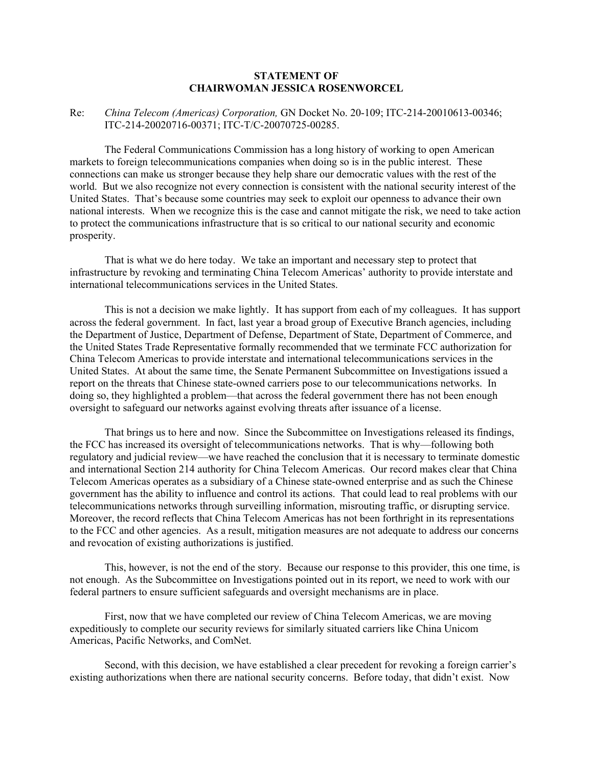## **STATEMENT OF CHAIRWOMAN JESSICA ROSENWORCEL**

## Re: *China Telecom (Americas) Corporation,* GN Docket No. 20-109; ITC-214-20010613-00346; ITC-214-20020716-00371; ITC-T/C-20070725-00285.

The Federal Communications Commission has a long history of working to open American markets to foreign telecommunications companies when doing so is in the public interest. These connections can make us stronger because they help share our democratic values with the rest of the world. But we also recognize not every connection is consistent with the national security interest of the United States. That's because some countries may seek to exploit our openness to advance their own national interests. When we recognize this is the case and cannot mitigate the risk, we need to take action to protect the communications infrastructure that is so critical to our national security and economic prosperity.

That is what we do here today. We take an important and necessary step to protect that infrastructure by revoking and terminating China Telecom Americas' authority to provide interstate and international telecommunications services in the United States.

This is not a decision we make lightly. It has support from each of my colleagues. It has support across the federal government. In fact, last year a broad group of Executive Branch agencies, including the Department of Justice, Department of Defense, Department of State, Department of Commerce, and the United States Trade Representative formally recommended that we terminate FCC authorization for China Telecom Americas to provide interstate and international telecommunications services in the United States. At about the same time, the Senate Permanent Subcommittee on Investigations issued a report on the threats that Chinese state-owned carriers pose to our telecommunications networks. In doing so, they highlighted a problem—that across the federal government there has not been enough oversight to safeguard our networks against evolving threats after issuance of a license.

That brings us to here and now. Since the Subcommittee on Investigations released its findings, the FCC has increased its oversight of telecommunications networks. That is why—following both regulatory and judicial review—we have reached the conclusion that it is necessary to terminate domestic and international Section 214 authority for China Telecom Americas. Our record makes clear that China Telecom Americas operates as a subsidiary of a Chinese state-owned enterprise and as such the Chinese government has the ability to influence and control its actions. That could lead to real problems with our telecommunications networks through surveilling information, misrouting traffic, or disrupting service. Moreover, the record reflects that China Telecom Americas has not been forthright in its representations to the FCC and other agencies. As a result, mitigation measures are not adequate to address our concerns and revocation of existing authorizations is justified.

This, however, is not the end of the story. Because our response to this provider, this one time, is not enough. As the Subcommittee on Investigations pointed out in its report, we need to work with our federal partners to ensure sufficient safeguards and oversight mechanisms are in place.

First, now that we have completed our review of China Telecom Americas, we are moving expeditiously to complete our security reviews for similarly situated carriers like China Unicom Americas, Pacific Networks, and ComNet.

Second, with this decision, we have established a clear precedent for revoking a foreign carrier's existing authorizations when there are national security concerns. Before today, that didn't exist. Now